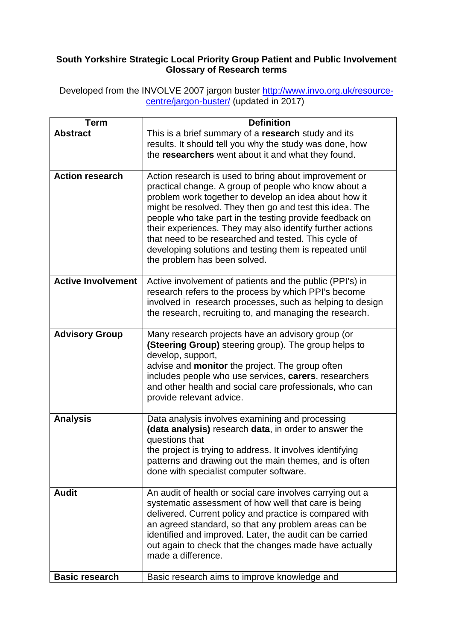## **South Yorkshire Strategic Local Priority Group Patient and Public Involvement Glossary of Research terms**

Developed from the INVOLVE 2007 jargon buster <u>http://www.invo.org.uk/resource-</u> [centre/jargon-buster/](http://www.invo.org.uk/resource-centre/jargon-buster/) (updated in 2017)

| Term                      | <b>Definition</b>                                                            |
|---------------------------|------------------------------------------------------------------------------|
| <b>Abstract</b>           | This is a brief summary of a research study and its                          |
|                           | results. It should tell you why the study was done, how                      |
|                           | the researchers went about it and what they found.                           |
| <b>Action research</b>    | Action research is used to bring about improvement or                        |
|                           | practical change. A group of people who know about a                         |
|                           | problem work together to develop an idea about how it                        |
|                           | might be resolved. They then go and test this idea. The                      |
|                           | people who take part in the testing provide feedback on                      |
|                           | their experiences. They may also identify further actions                    |
|                           | that need to be researched and tested. This cycle of                         |
|                           | developing solutions and testing them is repeated until                      |
|                           | the problem has been solved.                                                 |
| <b>Active Involvement</b> | Active involvement of patients and the public (PPI's) in                     |
|                           | research refers to the process by which PPI's become                         |
|                           | involved in research processes, such as helping to design                    |
|                           | the research, recruiting to, and managing the research.                      |
| <b>Advisory Group</b>     | Many research projects have an advisory group (or                            |
|                           | <b>(Steering Group)</b> steering group). The group helps to                  |
|                           | develop, support,                                                            |
|                           | advise and <b>monitor</b> the project. The group often                       |
|                           | includes people who use services, carers, researchers                        |
|                           | and other health and social care professionals, who can                      |
|                           | provide relevant advice.                                                     |
| <b>Analysis</b>           | Data analysis involves examining and processing                              |
|                           | (data analysis) research data, in order to answer the                        |
|                           | questions that                                                               |
|                           | the project is trying to address. It involves identifying                    |
|                           | patterns and drawing out the main themes, and is often                       |
|                           | done with specialist computer software.                                      |
| <b>Audit</b>              | An audit of health or social care involves carrying out a                    |
|                           | systematic assessment of how well that care is being                         |
|                           | delivered. Current policy and practice is compared with                      |
|                           | an agreed standard, so that any problem areas can be                         |
|                           | identified and improved. Later, the audit can be carried                     |
|                           | out again to check that the changes made have actually<br>made a difference. |
|                           |                                                                              |
| <b>Basic research</b>     | Basic research aims to improve knowledge and                                 |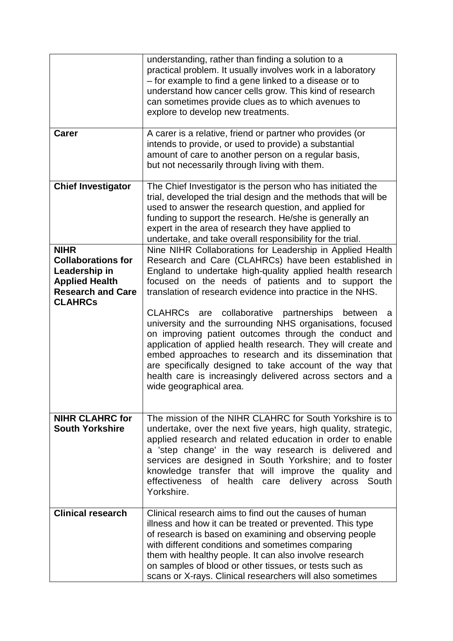|                                                                                                                                  | understanding, rather than finding a solution to a<br>practical problem. It usually involves work in a laboratory<br>- for example to find a gene linked to a disease or to<br>understand how cancer cells grow. This kind of research<br>can sometimes provide clues as to which avenues to<br>explore to develop new treatments.                                                                                                                         |
|----------------------------------------------------------------------------------------------------------------------------------|------------------------------------------------------------------------------------------------------------------------------------------------------------------------------------------------------------------------------------------------------------------------------------------------------------------------------------------------------------------------------------------------------------------------------------------------------------|
| <b>Carer</b>                                                                                                                     | A carer is a relative, friend or partner who provides (or<br>intends to provide, or used to provide) a substantial<br>amount of care to another person on a regular basis,<br>but not necessarily through living with them.                                                                                                                                                                                                                                |
| <b>Chief Investigator</b>                                                                                                        | The Chief Investigator is the person who has initiated the<br>trial, developed the trial design and the methods that will be<br>used to answer the research question, and applied for<br>funding to support the research. He/she is generally an<br>expert in the area of research they have applied to<br>undertake, and take overall responsibility for the trial.                                                                                       |
| <b>NIHR</b><br><b>Collaborations for</b><br>Leadership in<br><b>Applied Health</b><br><b>Research and Care</b><br><b>CLAHRCs</b> | Nine NIHR Collaborations for Leadership in Applied Health<br>Research and Care (CLAHRCs) have been established in<br>England to undertake high-quality applied health research<br>focused on the needs of patients and to support the<br>translation of research evidence into practice in the NHS.                                                                                                                                                        |
|                                                                                                                                  | CLAHRCs are collaborative partnerships between<br>a<br>university and the surrounding NHS organisations, focused<br>on improving patient outcomes through the conduct and<br>application of applied health research. They will create and<br>embed approaches to research and its dissemination that<br>are specifically designed to take account of the way that<br>health care is increasingly delivered across sectors and a<br>wide geographical area. |
| <b>NIHR CLAHRC for</b><br><b>South Yorkshire</b>                                                                                 | The mission of the NIHR CLAHRC for South Yorkshire is to<br>undertake, over the next five years, high quality, strategic,<br>applied research and related education in order to enable<br>a 'step change' in the way research is delivered and<br>services are designed in South Yorkshire; and to foster<br>knowledge transfer that will improve the quality and<br>effectiveness<br>of health care delivery across<br>South<br>Yorkshire.                |
| <b>Clinical research</b>                                                                                                         | Clinical research aims to find out the causes of human<br>illness and how it can be treated or prevented. This type<br>of research is based on examining and observing people<br>with different conditions and sometimes comparing<br>them with healthy people. It can also involve research<br>on samples of blood or other tissues, or tests such as<br>scans or X-rays. Clinical researchers will also sometimes                                        |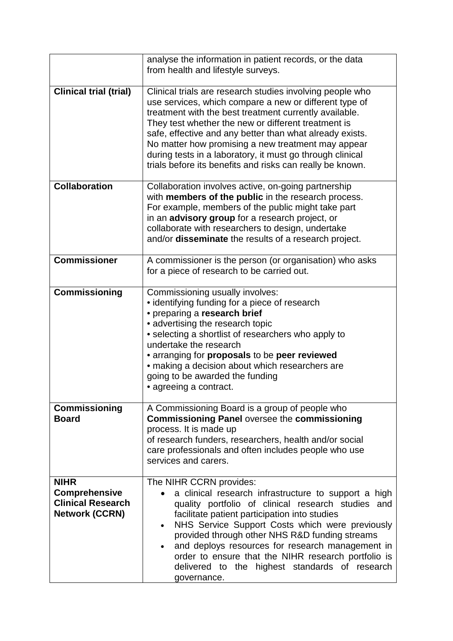|                                                                                          | analyse the information in patient records, or the data<br>from health and lifestyle surveys.                                                                                                                                                                                                                                                                                                                                                                                                     |
|------------------------------------------------------------------------------------------|---------------------------------------------------------------------------------------------------------------------------------------------------------------------------------------------------------------------------------------------------------------------------------------------------------------------------------------------------------------------------------------------------------------------------------------------------------------------------------------------------|
| <b>Clinical trial (trial)</b>                                                            | Clinical trials are research studies involving people who<br>use services, which compare a new or different type of<br>treatment with the best treatment currently available.<br>They test whether the new or different treatment is<br>safe, effective and any better than what already exists.<br>No matter how promising a new treatment may appear<br>during tests in a laboratory, it must go through clinical<br>trials before its benefits and risks can really be known.                  |
| <b>Collaboration</b>                                                                     | Collaboration involves active, on-going partnership<br>with members of the public in the research process.<br>For example, members of the public might take part<br>in an advisory group for a research project, or<br>collaborate with researchers to design, undertake<br>and/or disseminate the results of a research project.                                                                                                                                                                 |
| <b>Commissioner</b>                                                                      | A commissioner is the person (or organisation) who asks<br>for a piece of research to be carried out.                                                                                                                                                                                                                                                                                                                                                                                             |
| <b>Commissioning</b>                                                                     | Commissioning usually involves:<br>• identifying funding for a piece of research<br>• preparing a research brief<br>• advertising the research topic<br>• selecting a shortlist of researchers who apply to<br>undertake the research<br>• arranging for <b>proposals</b> to be <b>peer reviewed</b><br>• making a decision about which researchers are<br>going to be awarded the funding<br>• agreeing a contract.                                                                              |
| <b>Commissioning</b><br><b>Board</b>                                                     | A Commissioning Board is a group of people who<br><b>Commissioning Panel oversee the commissioning</b><br>process. It is made up<br>of research funders, researchers, health and/or social<br>care professionals and often includes people who use<br>services and carers.                                                                                                                                                                                                                        |
| <b>NIHR</b><br><b>Comprehensive</b><br><b>Clinical Research</b><br><b>Network (CCRN)</b> | The NIHR CCRN provides:<br>a clinical research infrastructure to support a high<br>$\bullet$<br>quality portfolio of clinical research studies and<br>facilitate patient participation into studies<br>NHS Service Support Costs which were previously<br>$\bullet$<br>provided through other NHS R&D funding streams<br>and deploys resources for research management in<br>order to ensure that the NIHR research portfolio is<br>delivered to the highest standards of research<br>governance. |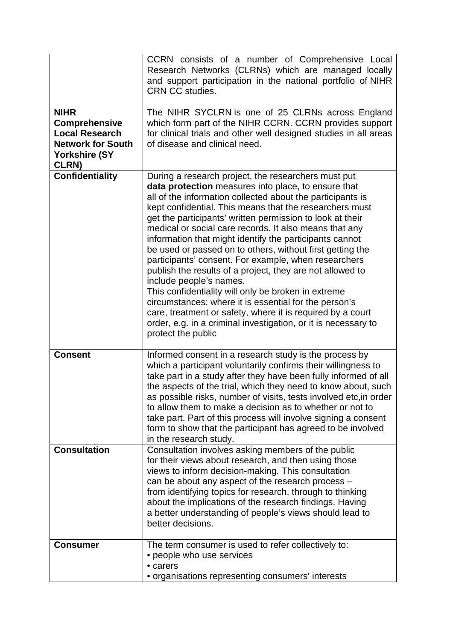|                                                                                                                           | CCRN consists of a number of Comprehensive Local<br>Research Networks (CLRNs) which are managed locally<br>and support participation in the national portfolio of NIHR<br><b>CRN CC studies.</b>                                                                                                                                                                                                                                                                                                                                                                                                                                                                                                                                                                                                                                                                                                         |
|---------------------------------------------------------------------------------------------------------------------------|----------------------------------------------------------------------------------------------------------------------------------------------------------------------------------------------------------------------------------------------------------------------------------------------------------------------------------------------------------------------------------------------------------------------------------------------------------------------------------------------------------------------------------------------------------------------------------------------------------------------------------------------------------------------------------------------------------------------------------------------------------------------------------------------------------------------------------------------------------------------------------------------------------|
| <b>NIHR</b><br><b>Comprehensive</b><br><b>Local Research</b><br><b>Network for South</b><br>Yorkshire (SY<br><b>CLRN)</b> | The NIHR SYCLRN is one of 25 CLRNs across England<br>which form part of the NIHR CCRN. CCRN provides support<br>for clinical trials and other well designed studies in all areas<br>of disease and clinical need.                                                                                                                                                                                                                                                                                                                                                                                                                                                                                                                                                                                                                                                                                        |
| <b>Confidentiality</b>                                                                                                    | During a research project, the researchers must put<br>data protection measures into place, to ensure that<br>all of the information collected about the participants is<br>kept confidential. This means that the researchers must<br>get the participants' written permission to look at their<br>medical or social care records. It also means that any<br>information that might identify the participants cannot<br>be used or passed on to others, without first getting the<br>participants' consent. For example, when researchers<br>publish the results of a project, they are not allowed to<br>include people's names.<br>This confidentiality will only be broken in extreme<br>circumstances: where it is essential for the person's<br>care, treatment or safety, where it is required by a court<br>order, e.g. in a criminal investigation, or it is necessary to<br>protect the public |
| <b>Consent</b>                                                                                                            | Informed consent in a research study is the process by<br>which a participant voluntarily confirms their willingness to<br>take part in a study after they have been fully informed of all<br>the aspects of the trial, which they need to know about, such<br>as possible risks, number of visits, tests involved etc, in order<br>to allow them to make a decision as to whether or not to<br>take part. Part of this process will involve signing a consent<br>form to show that the participant has agreed to be involved<br>in the research study.                                                                                                                                                                                                                                                                                                                                                  |
| <b>Consultation</b>                                                                                                       | Consultation involves asking members of the public<br>for their views about research, and then using those<br>views to inform decision-making. This consultation<br>can be about any aspect of the research process -<br>from identifying topics for research, through to thinking<br>about the implications of the research findings. Having<br>a better understanding of people's views should lead to<br>better decisions.                                                                                                                                                                                                                                                                                                                                                                                                                                                                            |
| <b>Consumer</b>                                                                                                           | The term consumer is used to refer collectively to:<br>• people who use services<br>• carers<br>• organisations representing consumers' interests                                                                                                                                                                                                                                                                                                                                                                                                                                                                                                                                                                                                                                                                                                                                                        |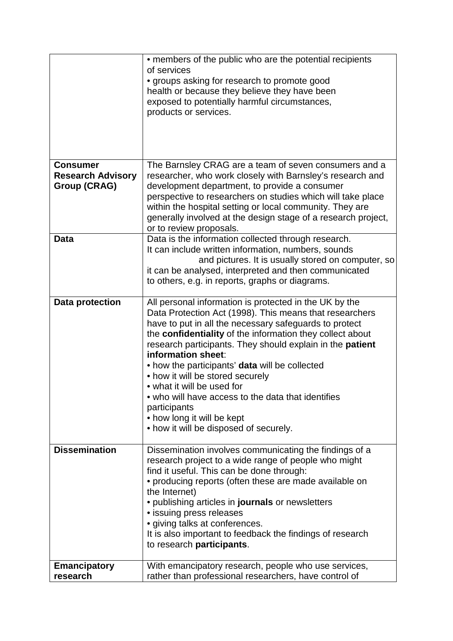|                          | • members of the public who are the potential recipients<br>of services<br>• groups asking for research to promote good<br>health or because they believe they have been |
|--------------------------|--------------------------------------------------------------------------------------------------------------------------------------------------------------------------|
|                          | exposed to potentially harmful circumstances,<br>products or services.                                                                                                   |
|                          |                                                                                                                                                                          |
| <b>Consumer</b>          | The Barnsley CRAG are a team of seven consumers and a                                                                                                                    |
| <b>Research Advisory</b> | researcher, who work closely with Barnsley's research and                                                                                                                |
| <b>Group (CRAG)</b>      | development department, to provide a consumer                                                                                                                            |
|                          | perspective to researchers on studies which will take place                                                                                                              |
|                          | within the hospital setting or local community. They are                                                                                                                 |
|                          | generally involved at the design stage of a research project,                                                                                                            |
| <b>Data</b>              | or to review proposals.<br>Data is the information collected through research.                                                                                           |
|                          | It can include written information, numbers, sounds                                                                                                                      |
|                          | and pictures. It is usually stored on computer, so                                                                                                                       |
|                          | it can be analysed, interpreted and then communicated                                                                                                                    |
|                          | to others, e.g. in reports, graphs or diagrams.                                                                                                                          |
|                          |                                                                                                                                                                          |
| <b>Data protection</b>   | All personal information is protected in the UK by the                                                                                                                   |
|                          | Data Protection Act (1998). This means that researchers                                                                                                                  |
|                          | have to put in all the necessary safeguards to protect<br>the confidentiality of the information they collect about                                                      |
|                          | research participants. They should explain in the patient                                                                                                                |
|                          | information sheet:                                                                                                                                                       |
|                          | • how the participants' data will be collected                                                                                                                           |
|                          | • how it will be stored securely                                                                                                                                         |
|                          | • what it will be used for                                                                                                                                               |
|                          | • who will have access to the data that identifies                                                                                                                       |
|                          | participants                                                                                                                                                             |
|                          | • how long it will be kept                                                                                                                                               |
|                          | • how it will be disposed of securely.                                                                                                                                   |
| <b>Dissemination</b>     | Dissemination involves communicating the findings of a                                                                                                                   |
|                          | research project to a wide range of people who might                                                                                                                     |
|                          | find it useful. This can be done through:                                                                                                                                |
|                          | • producing reports (often these are made available on                                                                                                                   |
|                          | the Internet)                                                                                                                                                            |
|                          | • publishing articles in journals or newsletters                                                                                                                         |
|                          | • issuing press releases                                                                                                                                                 |
|                          | • giving talks at conferences.                                                                                                                                           |
|                          | It is also important to feedback the findings of research<br>to research participants.                                                                                   |
|                          |                                                                                                                                                                          |
| <b>Emancipatory</b>      | With emancipatory research, people who use services,                                                                                                                     |
| research                 | rather than professional researchers, have control of                                                                                                                    |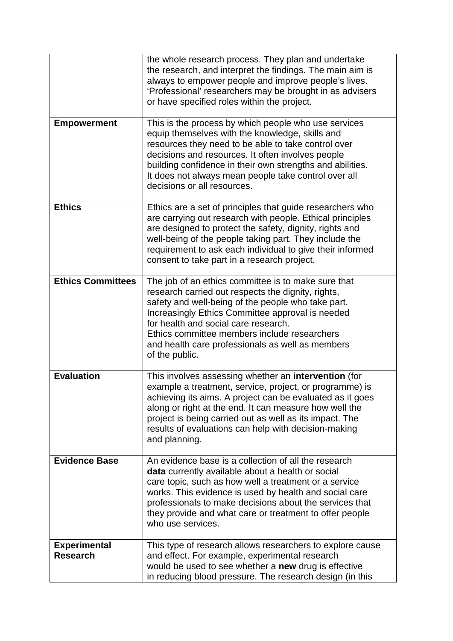|                                        | the whole research process. They plan and undertake<br>the research, and interpret the findings. The main aim is<br>always to empower people and improve people's lives.<br>'Professional' researchers may be brought in as advisers<br>or have specified roles within the project.                                                                                               |
|----------------------------------------|-----------------------------------------------------------------------------------------------------------------------------------------------------------------------------------------------------------------------------------------------------------------------------------------------------------------------------------------------------------------------------------|
| <b>Empowerment</b>                     | This is the process by which people who use services<br>equip themselves with the knowledge, skills and<br>resources they need to be able to take control over<br>decisions and resources. It often involves people<br>building confidence in their own strengths and abilities.<br>It does not always mean people take control over all<br>decisions or all resources.           |
| <b>Ethics</b>                          | Ethics are a set of principles that guide researchers who<br>are carrying out research with people. Ethical principles<br>are designed to protect the safety, dignity, rights and<br>well-being of the people taking part. They include the<br>requirement to ask each individual to give their informed<br>consent to take part in a research project.                           |
| <b>Ethics Committees</b>               | The job of an ethics committee is to make sure that<br>research carried out respects the dignity, rights,<br>safety and well-being of the people who take part.<br>Increasingly Ethics Committee approval is needed<br>for health and social care research.<br>Ethics committee members include researchers<br>and health care professionals as well as members<br>of the public. |
| <b>Evaluation</b>                      | This involves assessing whether an intervention (for<br>example a treatment, service, project, or programme) is<br>achieving its aims. A project can be evaluated as it goes<br>along or right at the end. It can measure how well the<br>project is being carried out as well as its impact. The<br>results of evaluations can help with decision-making<br>and planning.        |
| <b>Evidence Base</b>                   | An evidence base is a collection of all the research<br>data currently available about a health or social<br>care topic, such as how well a treatment or a service<br>works. This evidence is used by health and social care<br>professionals to make decisions about the services that<br>they provide and what care or treatment to offer people<br>who use services.           |
| <b>Experimental</b><br><b>Research</b> | This type of research allows researchers to explore cause<br>and effect. For example, experimental research<br>would be used to see whether a new drug is effective<br>in reducing blood pressure. The research design (in this                                                                                                                                                   |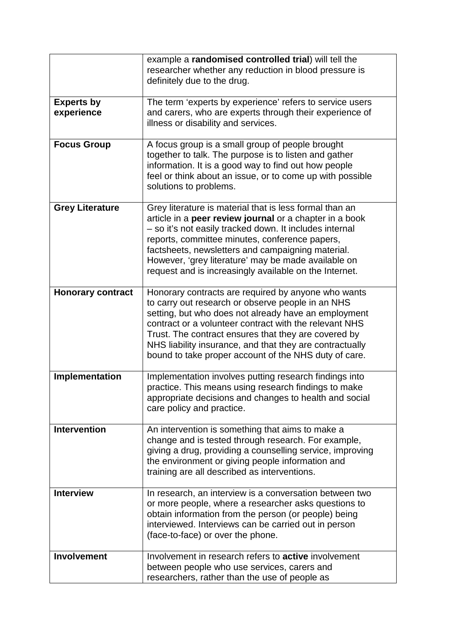|                                 | example a randomised controlled trial) will tell the<br>researcher whether any reduction in blood pressure is<br>definitely due to the drug.                                                                                                                                                                                                                                                            |
|---------------------------------|---------------------------------------------------------------------------------------------------------------------------------------------------------------------------------------------------------------------------------------------------------------------------------------------------------------------------------------------------------------------------------------------------------|
| <b>Experts by</b><br>experience | The term 'experts by experience' refers to service users<br>and carers, who are experts through their experience of<br>illness or disability and services.                                                                                                                                                                                                                                              |
| <b>Focus Group</b>              | A focus group is a small group of people brought<br>together to talk. The purpose is to listen and gather<br>information. It is a good way to find out how people<br>feel or think about an issue, or to come up with possible<br>solutions to problems.                                                                                                                                                |
| <b>Grey Literature</b>          | Grey literature is material that is less formal than an<br>article in a peer review journal or a chapter in a book<br>- so it's not easily tracked down. It includes internal<br>reports, committee minutes, conference papers,<br>factsheets, newsletters and campaigning material.<br>However, 'grey literature' may be made available on<br>request and is increasingly available on the Internet.   |
| <b>Honorary contract</b>        | Honorary contracts are required by anyone who wants<br>to carry out research or observe people in an NHS<br>setting, but who does not already have an employment<br>contract or a volunteer contract with the relevant NHS<br>Trust. The contract ensures that they are covered by<br>NHS liability insurance, and that they are contractually<br>bound to take proper account of the NHS duty of care. |
| Implementation                  | Implementation involves putting research findings into<br>practice. This means using research findings to make<br>appropriate decisions and changes to health and social<br>care policy and practice.                                                                                                                                                                                                   |
| <b>Intervention</b>             | An intervention is something that aims to make a<br>change and is tested through research. For example,<br>giving a drug, providing a counselling service, improving<br>the environment or giving people information and<br>training are all described as interventions.                                                                                                                                |
| <b>Interview</b>                | In research, an interview is a conversation between two<br>or more people, where a researcher asks questions to<br>obtain information from the person (or people) being<br>interviewed. Interviews can be carried out in person<br>(face-to-face) or over the phone.                                                                                                                                    |
| <b>Involvement</b>              | Involvement in research refers to <b>active</b> involvement<br>between people who use services, carers and<br>researchers, rather than the use of people as                                                                                                                                                                                                                                             |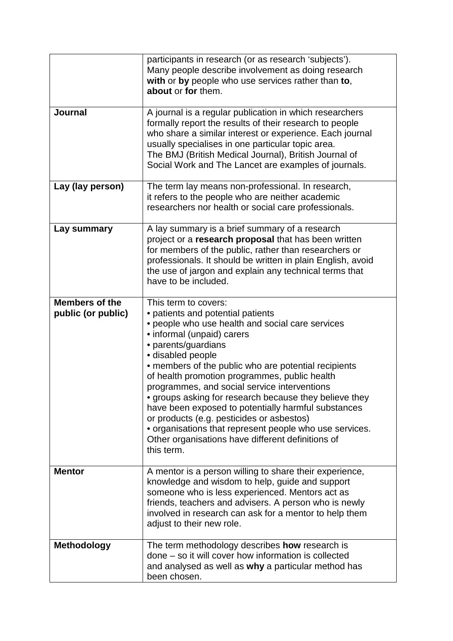|                                             | participants in research (or as research 'subjects').<br>Many people describe involvement as doing research<br>with or by people who use services rather than to,<br>about or for them.                                                                                                                                                                                                                                                                                                                                                                                                                                                      |
|---------------------------------------------|----------------------------------------------------------------------------------------------------------------------------------------------------------------------------------------------------------------------------------------------------------------------------------------------------------------------------------------------------------------------------------------------------------------------------------------------------------------------------------------------------------------------------------------------------------------------------------------------------------------------------------------------|
| <b>Journal</b>                              | A journal is a regular publication in which researchers<br>formally report the results of their research to people<br>who share a similar interest or experience. Each journal<br>usually specialises in one particular topic area.<br>The BMJ (British Medical Journal), British Journal of<br>Social Work and The Lancet are examples of journals.                                                                                                                                                                                                                                                                                         |
| Lay (lay person)                            | The term lay means non-professional. In research,<br>it refers to the people who are neither academic<br>researchers nor health or social care professionals.                                                                                                                                                                                                                                                                                                                                                                                                                                                                                |
| Lay summary                                 | A lay summary is a brief summary of a research<br>project or a research proposal that has been written<br>for members of the public, rather than researchers or<br>professionals. It should be written in plain English, avoid<br>the use of jargon and explain any technical terms that<br>have to be included.                                                                                                                                                                                                                                                                                                                             |
| <b>Members of the</b><br>public (or public) | This term to covers:<br>• patients and potential patients<br>• people who use health and social care services<br>• informal (unpaid) carers<br>• parents/guardians<br>· disabled people<br>• members of the public who are potential recipients<br>of health promotion programmes, public health<br>programmes, and social service interventions<br>• groups asking for research because they believe they<br>have been exposed to potentially harmful substances<br>or products (e.g. pesticides or asbestos)<br>• organisations that represent people who use services.<br>Other organisations have different definitions of<br>this term. |
| <b>Mentor</b>                               | A mentor is a person willing to share their experience,<br>knowledge and wisdom to help, guide and support<br>someone who is less experienced. Mentors act as<br>friends, teachers and advisers. A person who is newly<br>involved in research can ask for a mentor to help them<br>adjust to their new role.                                                                                                                                                                                                                                                                                                                                |
| Methodology                                 | The term methodology describes how research is<br>done – so it will cover how information is collected<br>and analysed as well as why a particular method has<br>been chosen.                                                                                                                                                                                                                                                                                                                                                                                                                                                                |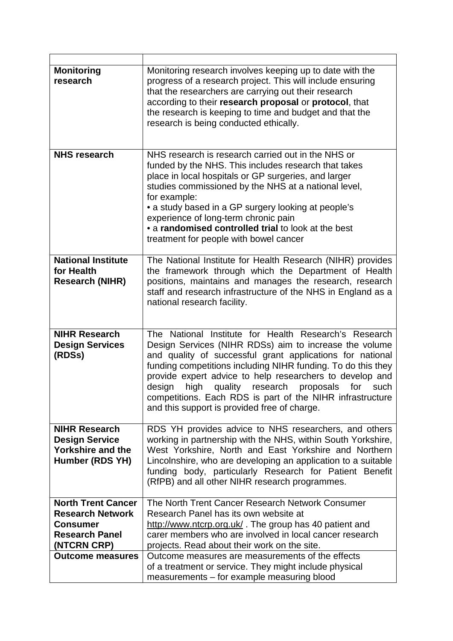| <b>Monitoring</b><br>research                                                                | Monitoring research involves keeping up to date with the<br>progress of a research project. This will include ensuring<br>that the researchers are carrying out their research<br>according to their research proposal or protocol, that<br>the research is keeping to time and budget and that the<br>research is being conducted ethically.                                                                                                                                           |
|----------------------------------------------------------------------------------------------|-----------------------------------------------------------------------------------------------------------------------------------------------------------------------------------------------------------------------------------------------------------------------------------------------------------------------------------------------------------------------------------------------------------------------------------------------------------------------------------------|
| <b>NHS research</b>                                                                          | NHS research is research carried out in the NHS or<br>funded by the NHS. This includes research that takes<br>place in local hospitals or GP surgeries, and larger<br>studies commissioned by the NHS at a national level,<br>for example:<br>• a study based in a GP surgery looking at people's<br>experience of long-term chronic pain<br>• a randomised controlled trial to look at the best<br>treatment for people with bowel cancer                                              |
| <b>National Institute</b><br>for Health<br><b>Research (NIHR)</b>                            | The National Institute for Health Research (NIHR) provides<br>the framework through which the Department of Health<br>positions, maintains and manages the research, research<br>staff and research infrastructure of the NHS in England as a<br>national research facility.                                                                                                                                                                                                            |
| <b>NIHR Research</b><br><b>Design Services</b><br>(RDSs)                                     | The National Institute for Health Research's Research<br>Design Services (NIHR RDSs) aim to increase the volume<br>and quality of successful grant applications for national<br>funding competitions including NIHR funding. To do this they<br>provide expert advice to help researchers to develop and<br>quality research<br>design<br>high<br>proposals<br>for<br>such<br>competitions. Each RDS is part of the NIHR infrastructure<br>and this support is provided free of charge. |
| <b>NIHR Research</b><br><b>Design Service</b><br><b>Yorkshire and the</b><br>Humber (RDS YH) | RDS YH provides advice to NHS researchers, and others<br>working in partnership with the NHS, within South Yorkshire,<br>West Yorkshire, North and East Yorkshire and Northern<br>Lincolnshire, who are developing an application to a suitable<br>funding body, particularly Research for Patient Benefit<br>(RfPB) and all other NIHR research programmes.                                                                                                                            |
| <b>North Trent Cancer</b>                                                                    | The North Trent Cancer Research Network Consumer                                                                                                                                                                                                                                                                                                                                                                                                                                        |
| <b>Research Network</b>                                                                      | Research Panel has its own website at                                                                                                                                                                                                                                                                                                                                                                                                                                                   |
| <b>Consumer</b>                                                                              | http://www.ntcrp.org.uk/. The group has 40 patient and                                                                                                                                                                                                                                                                                                                                                                                                                                  |
| <b>Research Panel</b>                                                                        | carer members who are involved in local cancer research                                                                                                                                                                                                                                                                                                                                                                                                                                 |
| (NTCRN CRP)                                                                                  | projects. Read about their work on the site.                                                                                                                                                                                                                                                                                                                                                                                                                                            |
| <b>Outcome measures</b>                                                                      | Outcome measures are measurements of the effects                                                                                                                                                                                                                                                                                                                                                                                                                                        |
|                                                                                              | of a treatment or service. They might include physical                                                                                                                                                                                                                                                                                                                                                                                                                                  |
|                                                                                              | measurements - for example measuring blood                                                                                                                                                                                                                                                                                                                                                                                                                                              |

÷

ŕ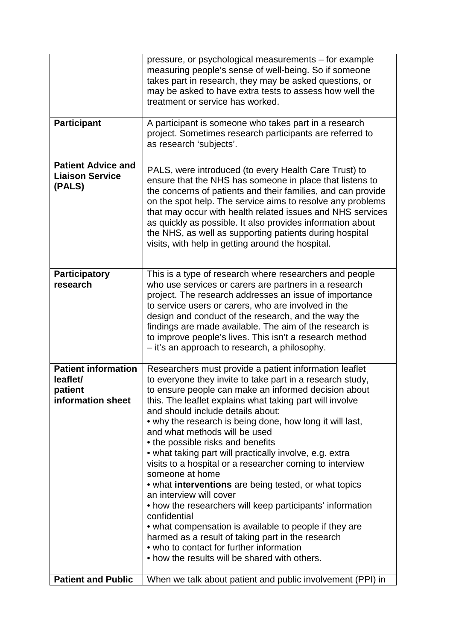|                                                                        | pressure, or psychological measurements – for example<br>measuring people's sense of well-being. So if someone<br>takes part in research, they may be asked questions, or<br>may be asked to have extra tests to assess how well the<br>treatment or service has worked.                                                                                                                                                                                                                                                                                                                                                                                                                                                                                                                                                                                                                                                              |
|------------------------------------------------------------------------|---------------------------------------------------------------------------------------------------------------------------------------------------------------------------------------------------------------------------------------------------------------------------------------------------------------------------------------------------------------------------------------------------------------------------------------------------------------------------------------------------------------------------------------------------------------------------------------------------------------------------------------------------------------------------------------------------------------------------------------------------------------------------------------------------------------------------------------------------------------------------------------------------------------------------------------|
| <b>Participant</b>                                                     | A participant is someone who takes part in a research<br>project. Sometimes research participants are referred to<br>as research 'subjects'.                                                                                                                                                                                                                                                                                                                                                                                                                                                                                                                                                                                                                                                                                                                                                                                          |
| <b>Patient Advice and</b><br><b>Liaison Service</b><br>(PALS)          | PALS, were introduced (to every Health Care Trust) to<br>ensure that the NHS has someone in place that listens to<br>the concerns of patients and their families, and can provide<br>on the spot help. The service aims to resolve any problems<br>that may occur with health related issues and NHS services<br>as quickly as possible. It also provides information about<br>the NHS, as well as supporting patients during hospital<br>visits, with help in getting around the hospital.                                                                                                                                                                                                                                                                                                                                                                                                                                           |
| <b>Participatory</b><br>research                                       | This is a type of research where researchers and people<br>who use services or carers are partners in a research<br>project. The research addresses an issue of importance<br>to service users or carers, who are involved in the<br>design and conduct of the research, and the way the<br>findings are made available. The aim of the research is<br>to improve people's lives. This isn't a research method<br>- it's an approach to research, a philosophy.                                                                                                                                                                                                                                                                                                                                                                                                                                                                       |
| <b>Patient information</b><br>leaflet/<br>patient<br>information sheet | Researchers must provide a patient information leaflet<br>to everyone they invite to take part in a research study,<br>to ensure people can make an informed decision about<br>this. The leaflet explains what taking part will involve<br>and should include details about:<br>• why the research is being done, how long it will last,<br>and what methods will be used<br>• the possible risks and benefits<br>• what taking part will practically involve, e.g. extra<br>visits to a hospital or a researcher coming to interview<br>someone at home<br>• what interventions are being tested, or what topics<br>an interview will cover<br>• how the researchers will keep participants' information<br>confidential<br>• what compensation is available to people if they are<br>harmed as a result of taking part in the research<br>• who to contact for further information<br>• how the results will be shared with others. |
| <b>Patient and Public</b>                                              | When we talk about patient and public involvement (PPI) in                                                                                                                                                                                                                                                                                                                                                                                                                                                                                                                                                                                                                                                                                                                                                                                                                                                                            |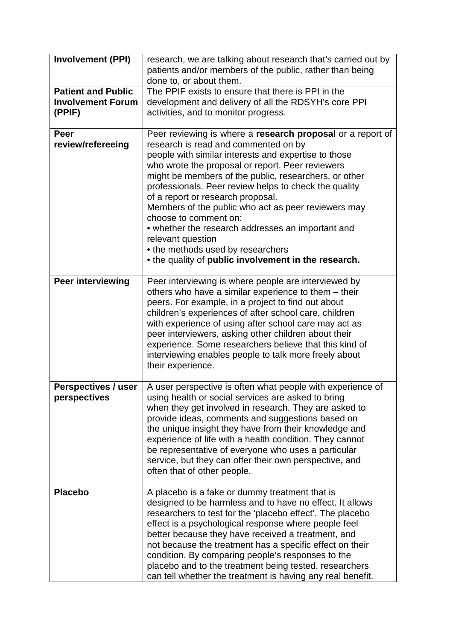| <b>Involvement (PPI)</b>                                        | research, we are talking about research that's carried out by<br>patients and/or members of the public, rather than being<br>done to, or about them.                                                                                                                                                                                                                                                                                                                                                                                                                                                                         |
|-----------------------------------------------------------------|------------------------------------------------------------------------------------------------------------------------------------------------------------------------------------------------------------------------------------------------------------------------------------------------------------------------------------------------------------------------------------------------------------------------------------------------------------------------------------------------------------------------------------------------------------------------------------------------------------------------------|
| <b>Patient and Public</b><br><b>Involvement Forum</b><br>(PPIF) | The PPIF exists to ensure that there is PPI in the<br>development and delivery of all the RDSYH's core PPI<br>activities, and to monitor progress.                                                                                                                                                                                                                                                                                                                                                                                                                                                                           |
| <b>Peer</b><br>review/refereeing                                | Peer reviewing is where a research proposal or a report of<br>research is read and commented on by<br>people with similar interests and expertise to those<br>who wrote the proposal or report. Peer reviewers<br>might be members of the public, researchers, or other<br>professionals. Peer review helps to check the quality<br>of a report or research proposal.<br>Members of the public who act as peer reviewers may<br>choose to comment on:<br>• whether the research addresses an important and<br>relevant question<br>• the methods used by researchers<br>• the quality of public involvement in the research. |
| Peer interviewing                                               | Peer interviewing is where people are interviewed by<br>others who have a similar experience to them - their<br>peers. For example, in a project to find out about<br>children's experiences of after school care, children<br>with experience of using after school care may act as<br>peer interviewers, asking other children about their<br>experience. Some researchers believe that this kind of<br>interviewing enables people to talk more freely about<br>their experience.                                                                                                                                         |
| Perspectives / user<br>perspectives                             | A user perspective is often what people with experience of<br>using health or social services are asked to bring<br>when they get involved in research. They are asked to<br>provide ideas, comments and suggestions based on<br>the unique insight they have from their knowledge and<br>experience of life with a health condition. They cannot<br>be representative of everyone who uses a particular<br>service, but they can offer their own perspective, and<br>often that of other people.                                                                                                                            |
| <b>Placebo</b>                                                  | A placebo is a fake or dummy treatment that is<br>designed to be harmless and to have no effect. It allows<br>researchers to test for the 'placebo effect'. The placebo<br>effect is a psychological response where people feel<br>better because they have received a treatment, and<br>not because the treatment has a specific effect on their<br>condition. By comparing people's responses to the<br>placebo and to the treatment being tested, researchers<br>can tell whether the treatment is having any real benefit.                                                                                               |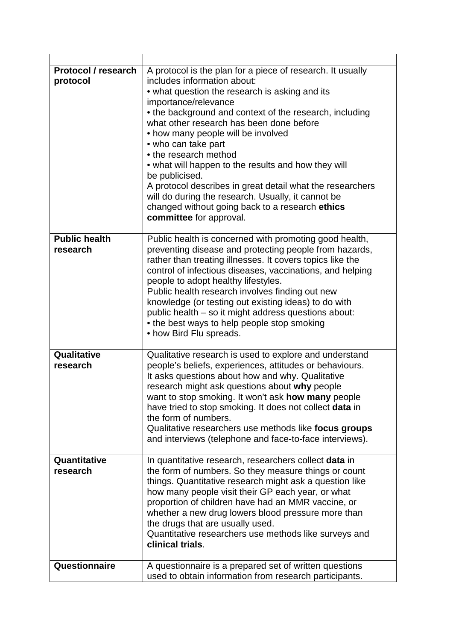| <b>Protocol / research</b><br>protocol | A protocol is the plan for a piece of research. It usually<br>includes information about:<br>• what question the research is asking and its<br>importance/relevance<br>• the background and context of the research, including<br>what other research has been done before<br>• how many people will be involved<br>• who can take part<br>• the research method<br>• what will happen to the results and how they will<br>be publicised.<br>A protocol describes in great detail what the researchers<br>will do during the research. Usually, it cannot be<br>changed without going back to a research ethics<br>committee for approval. |
|----------------------------------------|--------------------------------------------------------------------------------------------------------------------------------------------------------------------------------------------------------------------------------------------------------------------------------------------------------------------------------------------------------------------------------------------------------------------------------------------------------------------------------------------------------------------------------------------------------------------------------------------------------------------------------------------|
| <b>Public health</b>                   | Public health is concerned with promoting good health,                                                                                                                                                                                                                                                                                                                                                                                                                                                                                                                                                                                     |
| research                               | preventing disease and protecting people from hazards,<br>rather than treating illnesses. It covers topics like the<br>control of infectious diseases, vaccinations, and helping<br>people to adopt healthy lifestyles.<br>Public health research involves finding out new<br>knowledge (or testing out existing ideas) to do with<br>public health – so it might address questions about:<br>• the best ways to help people stop smoking<br>• how Bird Flu spreads.                                                                                                                                                                       |
| Qualitative<br>research                | Qualitative research is used to explore and understand<br>people's beliefs, experiences, attitudes or behaviours.<br>It asks questions about how and why. Qualitative<br>research might ask questions about why people<br>want to stop smoking. It won't ask how many people<br>have tried to stop smoking. It does not collect data in<br>the form of numbers.<br>Qualitative researchers use methods like focus groups<br>and interviews (telephone and face-to-face interviews).                                                                                                                                                        |
| Quantitative<br>research               | In quantitative research, researchers collect data in<br>the form of numbers. So they measure things or count<br>things. Quantitative research might ask a question like<br>how many people visit their GP each year, or what<br>proportion of children have had an MMR vaccine, or<br>whether a new drug lowers blood pressure more than<br>the drugs that are usually used.<br>Quantitative researchers use methods like surveys and<br>clinical trials.                                                                                                                                                                                 |
| Questionnaire                          | A questionnaire is a prepared set of written questions<br>used to obtain information from research participants.                                                                                                                                                                                                                                                                                                                                                                                                                                                                                                                           |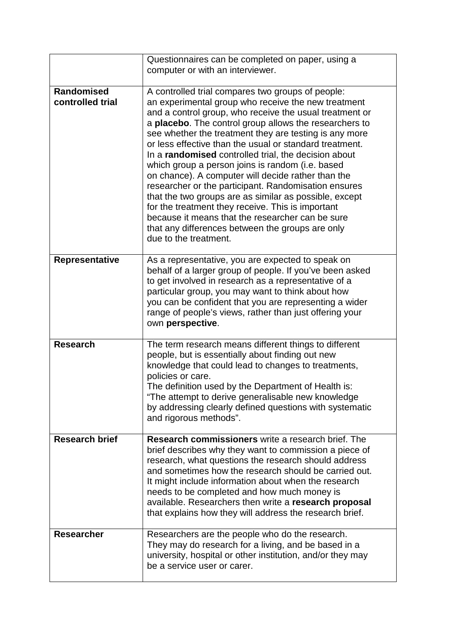|                                | Questionnaires can be completed on paper, using a                                                                                                                                                                                                                                                                                                                                                                                                                                                                                                                                                                                                                                                                                                                                                                                    |
|--------------------------------|--------------------------------------------------------------------------------------------------------------------------------------------------------------------------------------------------------------------------------------------------------------------------------------------------------------------------------------------------------------------------------------------------------------------------------------------------------------------------------------------------------------------------------------------------------------------------------------------------------------------------------------------------------------------------------------------------------------------------------------------------------------------------------------------------------------------------------------|
|                                | computer or with an interviewer.                                                                                                                                                                                                                                                                                                                                                                                                                                                                                                                                                                                                                                                                                                                                                                                                     |
| Randomised<br>controlled trial | A controlled trial compares two groups of people:<br>an experimental group who receive the new treatment<br>and a control group, who receive the usual treatment or<br>a <b>placebo</b> . The control group allows the researchers to<br>see whether the treatment they are testing is any more<br>or less effective than the usual or standard treatment.<br>In a randomised controlled trial, the decision about<br>which group a person joins is random (i.e. based<br>on chance). A computer will decide rather than the<br>researcher or the participant. Randomisation ensures<br>that the two groups are as similar as possible, except<br>for the treatment they receive. This is important<br>because it means that the researcher can be sure<br>that any differences between the groups are only<br>due to the treatment. |
| <b>Representative</b>          | As a representative, you are expected to speak on<br>behalf of a larger group of people. If you've been asked<br>to get involved in research as a representative of a<br>particular group, you may want to think about how<br>you can be confident that you are representing a wider<br>range of people's views, rather than just offering your<br>own perspective.                                                                                                                                                                                                                                                                                                                                                                                                                                                                  |
| <b>Research</b>                | The term research means different things to different<br>people, but is essentially about finding out new<br>knowledge that could lead to changes to treatments,<br>policies or care.<br>The definition used by the Department of Health is:<br>"The attempt to derive generalisable new knowledge<br>by addressing clearly defined questions with systematic<br>and rigorous methods".                                                                                                                                                                                                                                                                                                                                                                                                                                              |
| <b>Research brief</b>          | Research commissioners write a research brief. The<br>brief describes why they want to commission a piece of<br>research, what questions the research should address<br>and sometimes how the research should be carried out.<br>It might include information about when the research<br>needs to be completed and how much money is<br>available. Researchers then write a research proposal<br>that explains how they will address the research brief.                                                                                                                                                                                                                                                                                                                                                                             |
| <b>Researcher</b>              | Researchers are the people who do the research.<br>They may do research for a living, and be based in a<br>university, hospital or other institution, and/or they may<br>be a service user or carer.                                                                                                                                                                                                                                                                                                                                                                                                                                                                                                                                                                                                                                 |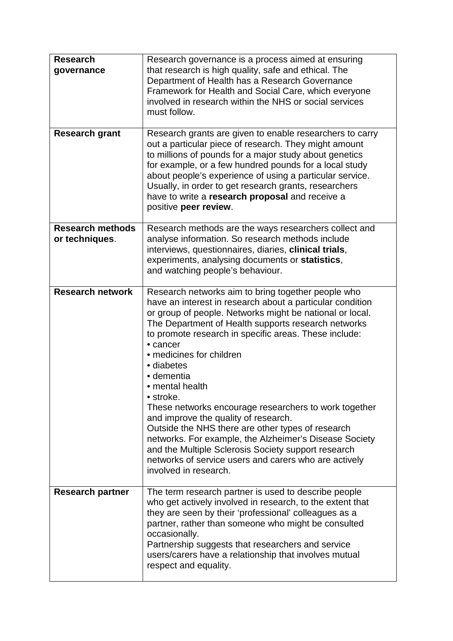| <b>Research</b><br>governance<br><b>Research grant</b> | Research governance is a process aimed at ensuring<br>that research is high quality, safe and ethical. The<br>Department of Health has a Research Governance<br>Framework for Health and Social Care, which everyone<br>involved in research within the NHS or social services<br>must follow.<br>Research grants are given to enable researchers to carry                                                                                                                                                                                                                                                                                                                                                                                               |
|--------------------------------------------------------|----------------------------------------------------------------------------------------------------------------------------------------------------------------------------------------------------------------------------------------------------------------------------------------------------------------------------------------------------------------------------------------------------------------------------------------------------------------------------------------------------------------------------------------------------------------------------------------------------------------------------------------------------------------------------------------------------------------------------------------------------------|
|                                                        | out a particular piece of research. They might amount<br>to millions of pounds for a major study about genetics<br>for example, or a few hundred pounds for a local study<br>about people's experience of using a particular service.<br>Usually, in order to get research grants, researchers<br>have to write a research proposal and receive a<br>positive peer review.                                                                                                                                                                                                                                                                                                                                                                               |
| <b>Research methods</b><br>or techniques.              | Research methods are the ways researchers collect and<br>analyse information. So research methods include<br>interviews, questionnaires, diaries, clinical trials,<br>experiments, analysing documents or statistics,<br>and watching people's behaviour.                                                                                                                                                                                                                                                                                                                                                                                                                                                                                                |
| <b>Research network</b>                                | Research networks aim to bring together people who<br>have an interest in research about a particular condition<br>or group of people. Networks might be national or local.<br>The Department of Health supports research networks<br>to promote research in specific areas. These include:<br>• cancer<br>• medicines for children<br>• diabetes<br>• dementia<br>• mental health<br>• stroke.<br>These networks encourage researchers to work together<br>and improve the quality of research.<br>Outside the NHS there are other types of research<br>networks. For example, the Alzheimer's Disease Society<br>and the Multiple Sclerosis Society support research<br>networks of service users and carers who are actively<br>involved in research. |
| <b>Research partner</b>                                | The term research partner is used to describe people<br>who get actively involved in research, to the extent that<br>they are seen by their 'professional' colleagues as a<br>partner, rather than someone who might be consulted<br>occasionally.<br>Partnership suggests that researchers and service<br>users/carers have a relationship that involves mutual<br>respect and equality.                                                                                                                                                                                                                                                                                                                                                                |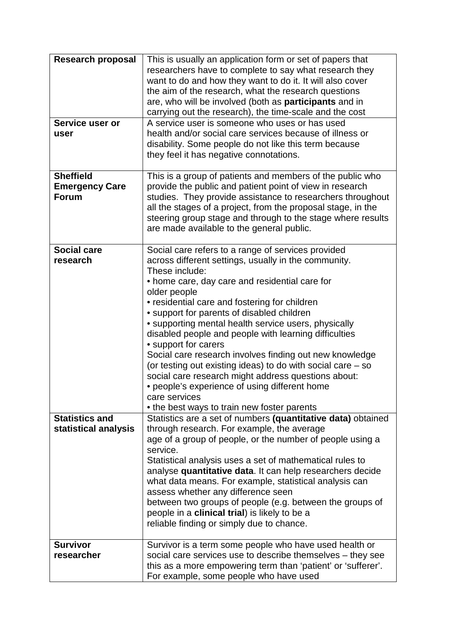| <b>Research proposal</b><br>Service user or<br>user       | This is usually an application form or set of papers that<br>researchers have to complete to say what research they<br>want to do and how they want to do it. It will also cover<br>the aim of the research, what the research questions<br>are, who will be involved (both as participants and in<br>carrying out the research), the time-scale and the cost<br>A service user is someone who uses or has used<br>health and/or social care services because of illness or<br>disability. Some people do not like this term because<br>they feel it has negative connotations.                                                                                                                                                          |
|-----------------------------------------------------------|------------------------------------------------------------------------------------------------------------------------------------------------------------------------------------------------------------------------------------------------------------------------------------------------------------------------------------------------------------------------------------------------------------------------------------------------------------------------------------------------------------------------------------------------------------------------------------------------------------------------------------------------------------------------------------------------------------------------------------------|
| <b>Sheffield</b><br><b>Emergency Care</b><br><b>Forum</b> | This is a group of patients and members of the public who<br>provide the public and patient point of view in research<br>studies. They provide assistance to researchers throughout<br>all the stages of a project, from the proposal stage, in the<br>steering group stage and through to the stage where results<br>are made available to the general public.                                                                                                                                                                                                                                                                                                                                                                          |
| <b>Social care</b><br>research                            | Social care refers to a range of services provided<br>across different settings, usually in the community.<br>These include:<br>• home care, day care and residential care for<br>older people<br>• residential care and fostering for children<br>• support for parents of disabled children<br>• supporting mental health service users, physically<br>disabled people and people with learning difficulties<br>• support for carers<br>Social care research involves finding out new knowledge<br>(or testing out existing ideas) to do with social care – so<br>social care research might address questions about:<br>• people's experience of using different home<br>care services<br>• the best ways to train new foster parents |
| <b>Statistics and</b><br>statistical analysis             | Statistics are a set of numbers (quantitative data) obtained<br>through research. For example, the average<br>age of a group of people, or the number of people using a<br>service.<br>Statistical analysis uses a set of mathematical rules to<br>analyse quantitative data. It can help researchers decide<br>what data means. For example, statistical analysis can<br>assess whether any difference seen<br>between two groups of people (e.g. between the groups of<br>people in a clinical trial) is likely to be a<br>reliable finding or simply due to chance.                                                                                                                                                                   |
| <b>Survivor</b><br>researcher                             | Survivor is a term some people who have used health or<br>social care services use to describe themselves - they see<br>this as a more empowering term than 'patient' or 'sufferer'.<br>For example, some people who have used                                                                                                                                                                                                                                                                                                                                                                                                                                                                                                           |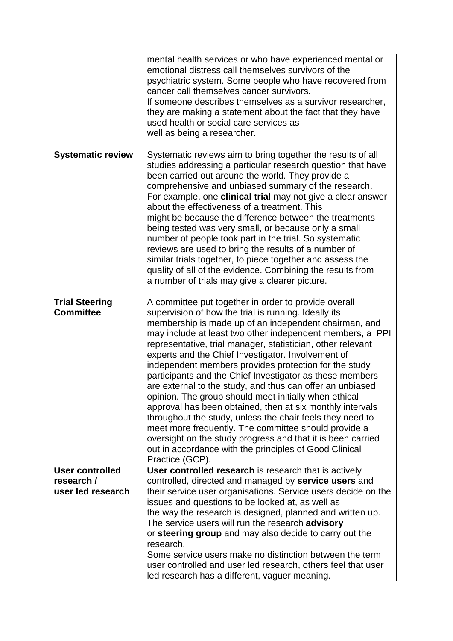|                                           | mental health services or who have experienced mental or<br>emotional distress call themselves survivors of the<br>psychiatric system. Some people who have recovered from<br>cancer call themselves cancer survivors.<br>If someone describes themselves as a survivor researcher,<br>they are making a statement about the fact that they have<br>used health or social care services as<br>well as being a researcher.                                                                                                                                                                                                                                                                                                                                                                                                                                                                                     |
|-------------------------------------------|---------------------------------------------------------------------------------------------------------------------------------------------------------------------------------------------------------------------------------------------------------------------------------------------------------------------------------------------------------------------------------------------------------------------------------------------------------------------------------------------------------------------------------------------------------------------------------------------------------------------------------------------------------------------------------------------------------------------------------------------------------------------------------------------------------------------------------------------------------------------------------------------------------------|
| <b>Systematic review</b>                  | Systematic reviews aim to bring together the results of all<br>studies addressing a particular research question that have<br>been carried out around the world. They provide a<br>comprehensive and unbiased summary of the research.<br>For example, one <b>clinical trial</b> may not give a clear answer<br>about the effectiveness of a treatment. This<br>might be because the difference between the treatments<br>being tested was very small, or because only a small<br>number of people took part in the trial. So systematic<br>reviews are used to bring the results of a number of<br>similar trials together, to piece together and assess the<br>quality of all of the evidence. Combining the results from<br>a number of trials may give a clearer picture.                                                                                                                                 |
| <b>Trial Steering</b><br><b>Committee</b> | A committee put together in order to provide overall<br>supervision of how the trial is running. Ideally its<br>membership is made up of an independent chairman, and<br>may include at least two other independent members, a PPI<br>representative, trial manager, statistician, other relevant<br>experts and the Chief Investigator. Involvement of<br>independent members provides protection for the study<br>participants and the Chief Investigator as these members<br>are external to the study, and thus can offer an unbiased<br>opinion. The group should meet initially when ethical<br>approval has been obtained, then at six monthly intervals<br>throughout the study, unless the chair feels they need to<br>meet more frequently. The committee should provide a<br>oversight on the study progress and that it is been carried<br>out in accordance with the principles of Good Clinical |
| <b>User controlled</b>                    | Practice (GCP).<br>User controlled research is research that is actively                                                                                                                                                                                                                                                                                                                                                                                                                                                                                                                                                                                                                                                                                                                                                                                                                                      |
| research /                                | controlled, directed and managed by service users and                                                                                                                                                                                                                                                                                                                                                                                                                                                                                                                                                                                                                                                                                                                                                                                                                                                         |
| user led research                         | their service user organisations. Service users decide on the                                                                                                                                                                                                                                                                                                                                                                                                                                                                                                                                                                                                                                                                                                                                                                                                                                                 |
|                                           | issues and questions to be looked at, as well as                                                                                                                                                                                                                                                                                                                                                                                                                                                                                                                                                                                                                                                                                                                                                                                                                                                              |
|                                           | the way the research is designed, planned and written up.                                                                                                                                                                                                                                                                                                                                                                                                                                                                                                                                                                                                                                                                                                                                                                                                                                                     |
|                                           | The service users will run the research advisory<br>or steering group and may also decide to carry out the                                                                                                                                                                                                                                                                                                                                                                                                                                                                                                                                                                                                                                                                                                                                                                                                    |
|                                           | research.                                                                                                                                                                                                                                                                                                                                                                                                                                                                                                                                                                                                                                                                                                                                                                                                                                                                                                     |
|                                           | Some service users make no distinction between the term                                                                                                                                                                                                                                                                                                                                                                                                                                                                                                                                                                                                                                                                                                                                                                                                                                                       |
|                                           | user controlled and user led research, others feel that user                                                                                                                                                                                                                                                                                                                                                                                                                                                                                                                                                                                                                                                                                                                                                                                                                                                  |
|                                           | led research has a different, vaguer meaning.                                                                                                                                                                                                                                                                                                                                                                                                                                                                                                                                                                                                                                                                                                                                                                                                                                                                 |